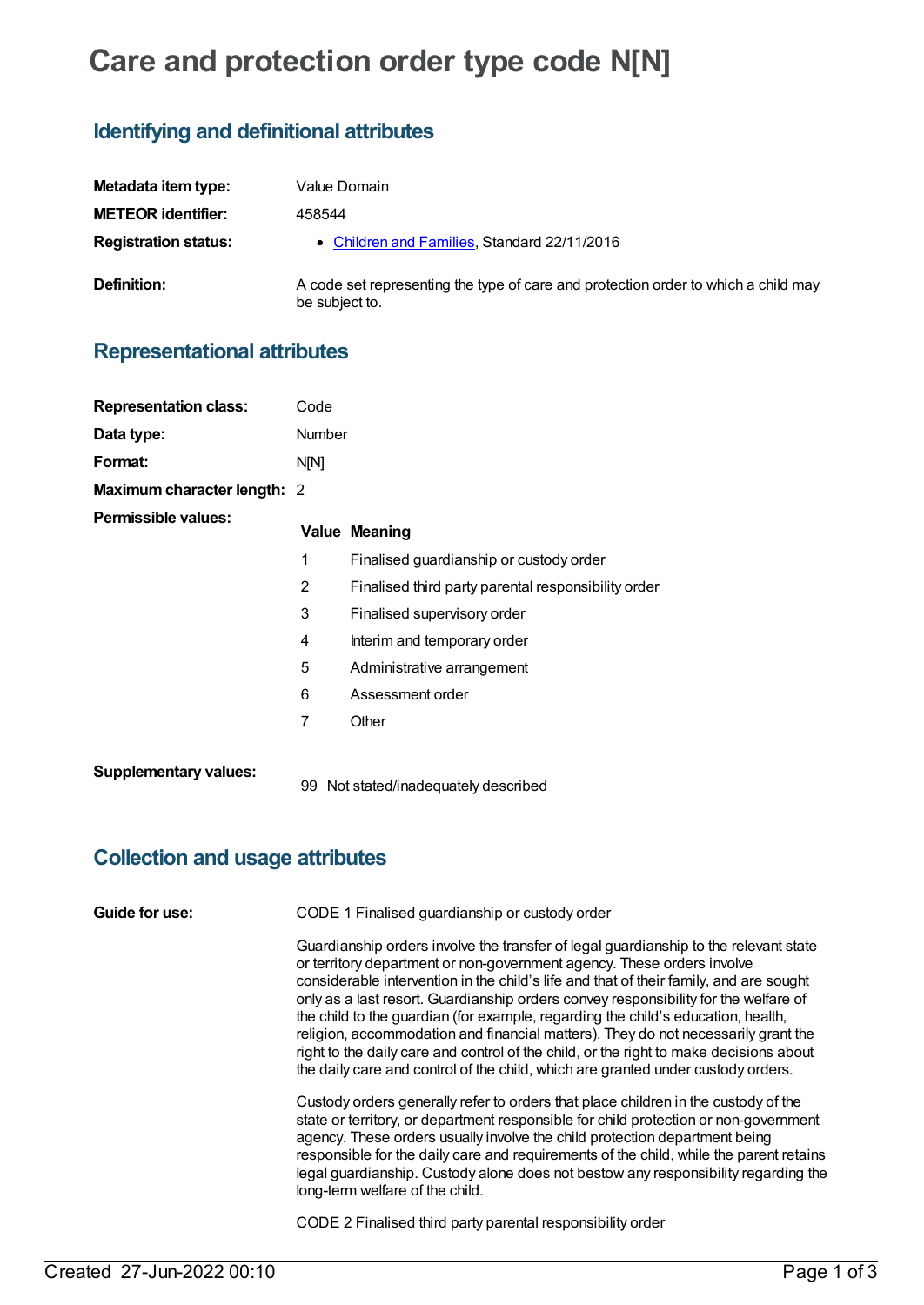# **Care and protection order type code N[N]**

## **Identifying and definitional attributes**

| Metadata item type:         | Value Domain                                                                                         |
|-----------------------------|------------------------------------------------------------------------------------------------------|
| <b>METEOR identifier:</b>   | 458544                                                                                               |
| <b>Registration status:</b> | • Children and Families, Standard 22/11/2016                                                         |
| Definition:                 | A code set representing the type of care and protection order to which a child may<br>be subject to. |

## **Representational attributes**

| <b>Representation class:</b> | Code           |                                                     |
|------------------------------|----------------|-----------------------------------------------------|
| Data type:                   | <b>Number</b>  |                                                     |
| Format:                      | <b>N[N]</b>    |                                                     |
| Maximum character length: 2  |                |                                                     |
| Permissible values:          |                | <b>Value Meaning</b>                                |
|                              | 1              | Finalised guardianship or custody order             |
|                              | $\overline{2}$ | Finalised third party parental responsibility order |
|                              | 3              | Finalised supervisory order                         |
|                              | 4              | Interim and temporary order                         |
|                              | 5              | Administrative arrangement                          |
|                              | 6              | Assessment order                                    |
|                              | 7              | Other                                               |
| <b>Supplementary values:</b> |                | 99 Not stated/inadequately described                |

## **Collection and usage attributes**

| Guide for use: | CODE 1 Finalised guardianship or custody order                                                                                                                                                                                                                                                                                                                                                                                                                                                                                                                                                                                                                                                         |  |  |
|----------------|--------------------------------------------------------------------------------------------------------------------------------------------------------------------------------------------------------------------------------------------------------------------------------------------------------------------------------------------------------------------------------------------------------------------------------------------------------------------------------------------------------------------------------------------------------------------------------------------------------------------------------------------------------------------------------------------------------|--|--|
|                | Guardianship orders involve the transfer of legal guardianship to the relevant state<br>or territory department or non-government agency. These orders involve<br>considerable intervention in the child's life and that of their family, and are sought<br>only as a last resort. Guardianship orders convey responsibility for the welfare of<br>the child to the guardian (for example, regarding the child's education, health,<br>religion, accommodation and financial matters). They do not necessarily grant the<br>right to the daily care and control of the child, or the right to make decisions about<br>the daily care and control of the child, which are granted under custody orders. |  |  |
|                | Custody orders generally refer to orders that place children in the custody of the<br>state or territory, or department responsible for child protection or non-government<br>agency. These orders usually involve the child protection department being<br>responsible for the daily care and requirements of the child, while the parent retains<br>legal guardianship. Custody alone does not bestow any responsibility regarding the<br>long-term welfare of the child.                                                                                                                                                                                                                            |  |  |
|                | CODE 2 Finalised third party parental responsibility order                                                                                                                                                                                                                                                                                                                                                                                                                                                                                                                                                                                                                                             |  |  |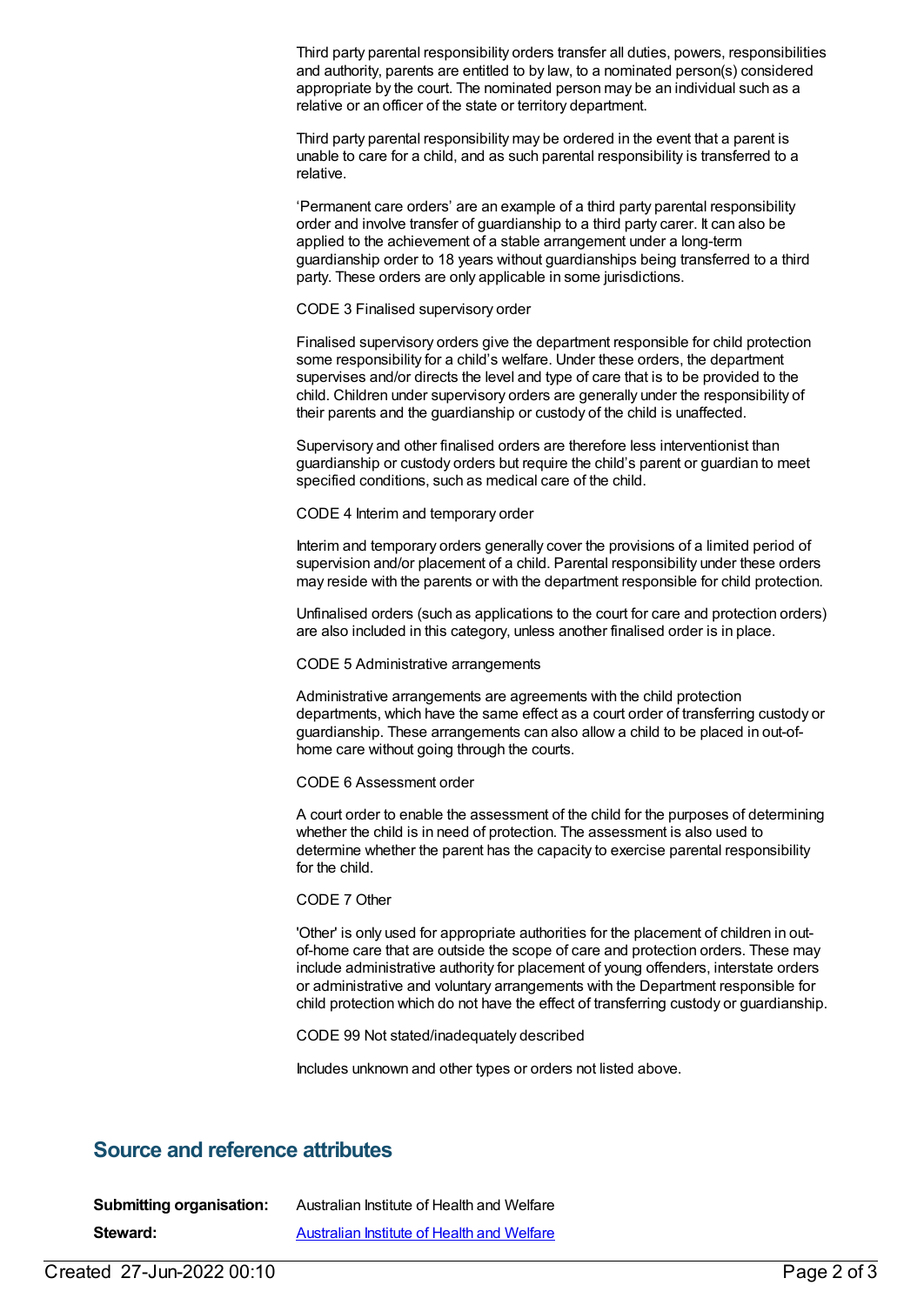Third party parental responsibility orders transfer all duties, powers, responsibilities and authority, parents are entitled to by law, to a nominated person(s) considered appropriate by the court. The nominated person may be an individual such as a relative or an officer of the state or territory department.

Third party parental responsibility may be ordered in the event that a parent is unable to care for a child, and as such parental responsibility is transferred to a relative.

'Permanent care orders' are an example of a third party parental responsibility order and involve transfer of guardianship to a third party carer. It can also be applied to the achievement of a stable arrangement under a long-term guardianship order to 18 years without guardianships being transferred to a third party. These orders are only applicable in some jurisdictions.

CODE 3 Finalised supervisory order

Finalised supervisory orders give the department responsible for child protection some responsibility for a child's welfare. Under these orders, the department supervises and/or directs the level and type of care that is to be provided to the child. Children under supervisory orders are generally under the responsibility of their parents and the guardianship or custody of the child is unaffected.

Supervisory and other finalised orders are therefore less interventionist than guardianship or custody orders but require the child's parent or guardian to meet specified conditions, such as medical care of the child.

CODE 4 Interim and temporary order

Interim and temporary orders generally cover the provisions of a limited period of supervision and/or placement of a child. Parental responsibility under these orders may reside with the parents or with the department responsible for child protection.

Unfinalised orders (such as applications to the court for care and protection orders) are also included in this category, unless another finalised order is in place.

CODE 5 Administrative arrangements

Administrative arrangements are agreements with the child protection departments, which have the same effect as a court order of transferring custody or guardianship. These arrangements can also allow a child to be placed in out-ofhome care without going through the courts.

CODE 6 Assessment order

A court order to enable the assessment of the child for the purposes of determining whether the child is in need of protection. The assessment is also used to determine whether the parent has the capacity to exercise parental responsibility for the child.

CODE 7 Other

'Other' is only used for appropriate authorities for the placement of children in outof-home care that are outside the scope of care and protection orders. These may include administrative authority for placement of young offenders, interstate orders or administrative and voluntary arrangements with the Department responsible for child protection which do not have the effect of transferring custody or guardianship.

CODE 99 Not stated/inadequately described

Includes unknown and other types or orders not listed above.

#### **Source and reference attributes**

| <b>Submitting organisation:</b> | Australian Institute of Health and Welfare |
|---------------------------------|--------------------------------------------|
| Steward:                        | Australian Institute of Health and Welfare |